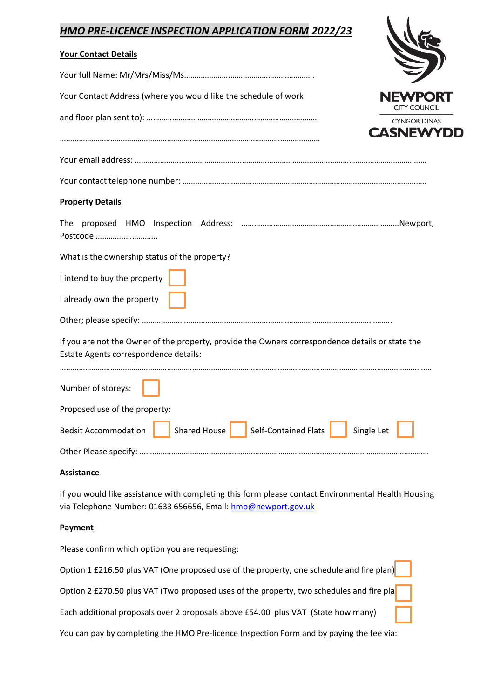## *HMO PRE-LICENCE INSPECTION APPLICATION FORM 2022/23*

### **Your Contact Details**

| Your Contact Details                                                                                                                      |  |
|-------------------------------------------------------------------------------------------------------------------------------------------|--|
|                                                                                                                                           |  |
| Your Contact Address (where you would like the schedule of work<br><b>NEWPORT</b>                                                         |  |
| CITY COUNCIL<br><b>CYNGOR DINAS</b><br><b>CASNEWYD</b>                                                                                    |  |
|                                                                                                                                           |  |
|                                                                                                                                           |  |
| <b>Property Details</b>                                                                                                                   |  |
| Postcode                                                                                                                                  |  |
| What is the ownership status of the property?                                                                                             |  |
| I intend to buy the property<br>I already own the property                                                                                |  |
|                                                                                                                                           |  |
| If you are not the Owner of the property, provide the Owners correspondence details or state the<br>Estate Agents correspondence details: |  |
| Number of storeys:                                                                                                                        |  |
| Proposed use of the property:                                                                                                             |  |
| Shared House   Self-Contained Flats<br><b>Bedsit Accommodation</b><br>Single Let                                                          |  |
|                                                                                                                                           |  |

### **Assistance**

If you would like assistance with completing this form please contact Environmental Health Housing via Telephone Number: 01633 656656, Email: [hmo@newport.gov.uk](mailto:hmo@newport.gov.uk)

### **Payment**

Please confirm which option you are requesting:

| Option 1 £216.50 plus VAT (One proposed use of the property, one schedule and fire plan)      | ı |  |
|-----------------------------------------------------------------------------------------------|---|--|
| Option 2 £270.50 plus VAT (Two proposed uses of the property, two schedules and fire pla      |   |  |
| Each additional proposals over 2 proposals above £54.00 plus VAT (State how many) $\ \cdot\ $ |   |  |
| You can pay by completing the HMO Pre-licence Inspection Form and by paying the fee via:      |   |  |